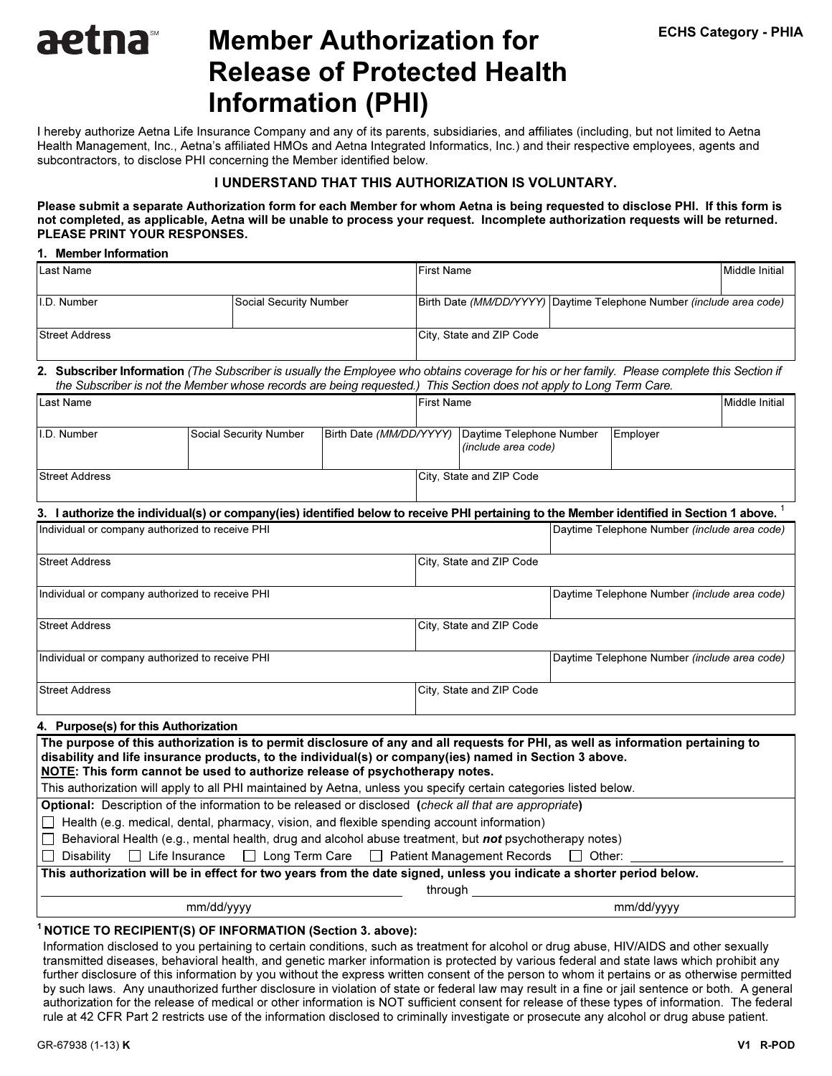# Member Authorization for Release of Protected Health Information (PHI)

I hereby authorize Aetna Life Insurance Company and any of its parents, subsidiaries, and affiliates (including, but not limited to Aetna Health Management, Inc., Aetna's affiliated HMOs and Aetna Integrated Informatics, Inc.) and their respective employees, agents and subcontractors, to disclose PHI concerning the Member identified below.

# I UNDERSTAND THAT THIS AUTHORIZATION IS VOLUNTARY.

I UNDERSTAND THAT THIS AUTHORIZATION IS VOLUNTARY. Please submit a separate Authorization form for each Member for whom Aetna is being requested to disclose PHI. If this form is not completed, as applicable, Aetna will be unable to process your request. Incomplete authorization requests will be returned. PLEASE PRINT YOUR RESPONSES.

## 1. Member Information

aetna

| Last Name             |                        | <b>First Name</b>        | Middle Initial                                                         |  |
|-----------------------|------------------------|--------------------------|------------------------------------------------------------------------|--|
|                       |                        |                          |                                                                        |  |
| II.D. Number          | Social Security Number |                          | Birth Date (MM/DD/YYYY)   Daytime Telephone Number (include area code) |  |
|                       |                        |                          |                                                                        |  |
| <b>Street Address</b> |                        | City, State and ZIP Code |                                                                        |  |
|                       |                        |                          |                                                                        |  |

2. Subscriber Information (The Subscriber is usually the Employee who obtains coverage for his or her family. Please complete this Section if the Subscriber is not the Member whose records are being requested.) This Section does not apply to Long Term Care.

| Last Name                                                                                                                                                                                                                                                                                                                |                                                                                                                          |                                                         | <b>First Name</b>        |                                                 |                                              |                                              | <b>Middle Initial</b> |
|--------------------------------------------------------------------------------------------------------------------------------------------------------------------------------------------------------------------------------------------------------------------------------------------------------------------------|--------------------------------------------------------------------------------------------------------------------------|---------------------------------------------------------|--------------------------|-------------------------------------------------|----------------------------------------------|----------------------------------------------|-----------------------|
| I.D. Number                                                                                                                                                                                                                                                                                                              | Social Security Number                                                                                                   | Birth Date (MM/DD/YYYY)                                 |                          | Daytime Telephone Number<br>(include area code) |                                              | Employer                                     |                       |
| <b>Street Address</b>                                                                                                                                                                                                                                                                                                    |                                                                                                                          |                                                         | City, State and ZIP Code |                                                 |                                              |                                              |                       |
| 3. I authorize the individual(s) or company(ies) identified below to receive PHI pertaining to the Member identified in Section 1 above.                                                                                                                                                                                 |                                                                                                                          |                                                         |                          |                                                 |                                              |                                              |                       |
| Individual or company authorized to receive PHI                                                                                                                                                                                                                                                                          |                                                                                                                          |                                                         |                          |                                                 | Daytime Telephone Number (include area code) |                                              |                       |
| <b>Street Address</b>                                                                                                                                                                                                                                                                                                    |                                                                                                                          |                                                         | City, State and ZIP Code |                                                 |                                              |                                              |                       |
| Individual or company authorized to receive PHI                                                                                                                                                                                                                                                                          |                                                                                                                          |                                                         |                          |                                                 | Daytime Telephone Number (include area code) |                                              |                       |
| <b>Street Address</b>                                                                                                                                                                                                                                                                                                    |                                                                                                                          |                                                         | City, State and ZIP Code |                                                 |                                              |                                              |                       |
| Individual or company authorized to receive PHI                                                                                                                                                                                                                                                                          |                                                                                                                          |                                                         |                          |                                                 |                                              | Daytime Telephone Number (include area code) |                       |
| <b>Street Address</b>                                                                                                                                                                                                                                                                                                    |                                                                                                                          |                                                         | City, State and ZIP Code |                                                 |                                              |                                              |                       |
| 4. Purpose(s) for this Authorization                                                                                                                                                                                                                                                                                     |                                                                                                                          |                                                         |                          |                                                 |                                              |                                              |                       |
| The purpose of this authorization is to permit disclosure of any and all requests for PHI, as well as information pertaining to<br>disability and life insurance products, to the individual(s) or company(ies) named in Section 3 above.<br>NOTE: This form cannot be used to authorize release of psychotherapy notes. |                                                                                                                          |                                                         |                          |                                                 |                                              |                                              |                       |
| This authorization will apply to all PHI maintained by Aetna, unless you specify certain categories listed below.                                                                                                                                                                                                        |                                                                                                                          |                                                         |                          |                                                 |                                              |                                              |                       |
| <b>Optional:</b> Description of the information to be released or disclosed (check all that are appropriate)                                                                                                                                                                                                             |                                                                                                                          |                                                         |                          |                                                 |                                              |                                              |                       |
| Health (e.g. medical, dental, pharmacy, vision, and flexible spending account information)                                                                                                                                                                                                                               |                                                                                                                          |                                                         |                          |                                                 |                                              |                                              |                       |
| Disability<br>$\Box$<br>$\mathbf{1}$                                                                                                                                                                                                                                                                                     | Behavioral Health (e.g., mental health, drug and alcohol abuse treatment, but not psychotherapy notes)<br>Life Insurance | $\Box$ Long Term Care $\Box$ Patient Management Records |                          |                                                 | $\mathbf{1}$<br>Other:                       |                                              |                       |
| This authorization will be in effect for two years from the date signed, unless you indicate a shorter period below.                                                                                                                                                                                                     |                                                                                                                          |                                                         |                          |                                                 |                                              |                                              |                       |
|                                                                                                                                                                                                                                                                                                                          |                                                                                                                          |                                                         | through                  |                                                 |                                              |                                              |                       |
| mm/dd/yyyy<br>mm/dd/yyyy                                                                                                                                                                                                                                                                                                 |                                                                                                                          |                                                         |                          |                                                 |                                              |                                              |                       |
|                                                                                                                                                                                                                                                                                                                          |                                                                                                                          |                                                         |                          |                                                 |                                              |                                              |                       |

## <sup>1</sup> NOTICE TO RECIPIENT(S) OF INFORMATION (Section 3. above):

Information disclosed to you pertaining to certain conditions, such as treatment for alcohol or drug abuse, HIV/AIDS and other sexually transmitted diseases, behavioral health, and genetic marker information is protected by various federal and state laws which prohibit any further disclosure of this information by you without the express written consent of the person to whom it pertains or as otherwise permitted by such laws. Any unauthorized further disclosure in violation of state or federal law may result in a fine or jail sentence or both. A general authorization for the release of medical or other information is NOT sufficient consent for release of these types of information. The federal rule at 42 CFR Part 2 restricts use of the information disclosed to criminally investigate or prosecute any alcohol or drug abuse patient.